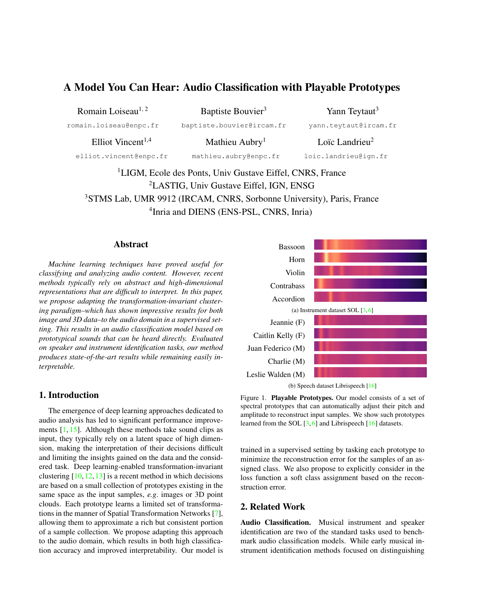# <span id="page-0-1"></span>A Model You Can Hear: Audio Classification with Playable Prototypes

| Romain Loiseau <sup>1, 2</sup> | Baptiste Bouvier <sup>3</sup> | Yann Teytaut <sup>3</sup>  |
|--------------------------------|-------------------------------|----------------------------|
| romain.loiseau@enpc.fr         | baptiste.bouvier@ircam.fr     | yann.teytaut@ircam.fr      |
| Elliot Vincent <sup>1,4</sup>  | Mathieu Aubry <sup>1</sup>    | Loïc Landrieu <sup>2</sup> |
| elliot.vincent@enpc.fr         | mathieu.aubry@enpc.fr         | loic.landrieu@ign.fr       |

<sup>1</sup>LIGM, Ecole des Ponts, Univ Gustave Eiffel, CNRS, France LASTIG, Univ Gustave Eiffel, IGN, ENSG STMS Lab, UMR 9912 (IRCAM, CNRS, Sorbonne University), Paris, France Inria and DIENS (ENS-PSL, CNRS, Inria)

## Abstract

*Machine learning techniques have proved useful for classifying and analyzing audio content. However, recent methods typically rely on abstract and high-dimensional representations that are difficult to interpret. In this paper, we propose adapting the transformation-invariant clustering paradigm–which has shown impressive results for both image and 3D data–to the audio domain in a supervised setting. This results in an audio classification model based on prototypical sounds that can be heard directly. Evaluated on speaker and instrument identification tasks, our method produces state-of-the-art results while remaining easily interpretable.*

# 1. Introduction

The emergence of deep learning approaches dedicated to audio analysis has led to significant performance improvements [\[1,](#page-3-0) [15\]](#page-4-0). Although these methods take sound clips as input, they typically rely on a latent space of high dimension, making the interpretation of their decisions difficult and limiting the insights gained on the data and the considered task. Deep learning-enabled transformation-invariant clustering  $[10, 12, 13]$  $[10, 12, 13]$  $[10, 12, 13]$  $[10, 12, 13]$  $[10, 12, 13]$  is a recent method in which decisions are based on a small collection of prototypes existing in the same space as the input samples, *e.g*. images or 3D point clouds. Each prototype learns a limited set of transformations in the manner of Spatial Transformation Networks [\[7\]](#page-3-4), allowing them to approximate a rich but consistent portion of a sample collection. We propose adapting this approach to the audio domain, which results in both high classification accuracy and improved interpretability. Our model is

<span id="page-0-0"></span>

Figure 1. Playable Prototypes. Our model consists of a set of spectral prototypes that can automatically adjust their pitch and amplitude to reconstruct input samples. We show such prototypes learned from the SOL [\[3,](#page-3-5) [6\]](#page-3-6) and Librispeech [\[16\]](#page-4-1) datasets.

trained in a supervised setting by tasking each prototype to minimize the reconstruction error for the samples of an assigned class. We also propose to explicitly consider in the loss function a soft class assignment based on the reconstruction error.

# 2. Related Work

Audio Classification. Musical instrument and speaker identification are two of the standard tasks used to benchmark audio classification models. While early musical instrument identification methods focused on distinguishing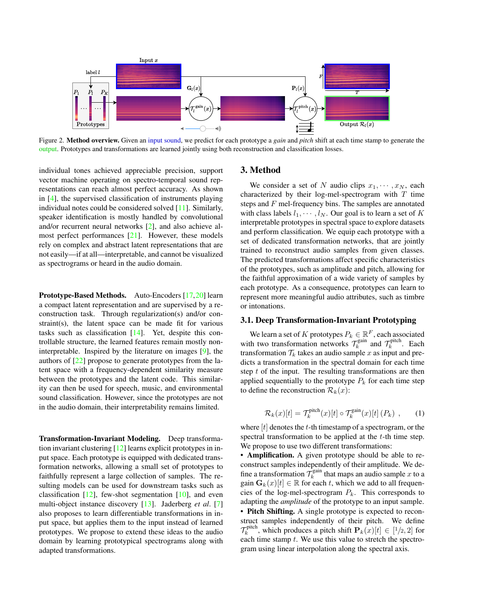<span id="page-1-1"></span><span id="page-1-0"></span>

Figure 2. Method overview. Given an input sound, we predict for each prototype a *gain* and *pitch* shift at each time stamp to generate the output. Prototypes and transformations are learned jointly using both reconstruction and classification losses.

individual tones achieved appreciable precision, support vector machine operating on spectro-temporal sound representations can reach almost perfect accuracy. As shown in [\[4\]](#page-3-7), the supervised classification of instruments playing individual notes could be considered solved [\[11\]](#page-3-8). Similarly, speaker identification is mostly handled by convolutional and/or recurrent neural networks [\[2\]](#page-3-9), and also achieve almost perfect performances [\[21\]](#page-4-2). However, these models rely on complex and abstract latent representations that are not easily—if at all—interpretable, and cannot be visualized as spectrograms or heard in the audio domain.

Prototype-Based Methods. Auto-Encoders [\[17,](#page-4-3)[20\]](#page-4-4) learn a compact latent representation and are supervised by a reconstruction task. Through regularization(s) and/or constraint(s), the latent space can be made fit for various tasks such as classification [\[14\]](#page-3-10). Yet, despite this controllable structure, the learned features remain mostly noninterpretable. Inspired by the literature on images [\[9\]](#page-3-11), the authors of [\[22\]](#page-4-5) propose to generate prototypes from the latent space with a frequency-dependent similarity measure between the prototypes and the latent code. This similarity can then be used for speech, music, and environmental sound classification. However, since the prototypes are not in the audio domain, their interpretability remains limited.

Transformation-Invariant Modeling. Deep transformation invariant clustering [\[12\]](#page-3-2) learns explicit prototypes in input space. Each prototype is equipped with dedicated transformation networks, allowing a small set of prototypes to faithfully represent a large collection of samples. The resulting models can be used for downstream tasks such as classification  $[12]$ , few-shot segmentation  $[10]$ , and even multi-object instance discovery [\[13\]](#page-3-3). Jaderberg *et al*. [\[7\]](#page-3-4) also proposes to learn differentiable transformations in input space, but applies them to the input instead of learned prototypes. We propose to extend these ideas to the audio domain by learning prototypical spectrograms along with adapted transformations.

# 3. Method

We consider a set of N audio clips  $x_1, \dots, x_N$ , each characterized by their log-mel-spectrogram with  $T$  time steps and F mel-frequency bins. The samples are annotated with class labels  $l_1, \dots, l_N$ . Our goal is to learn a set of K interpretable prototypes in spectral space to explore datasets and perform classification. We equip each prototype with a set of dedicated transformation networks, that are jointly trained to reconstruct audio samples from given classes. The predicted transformations affect specific characteristics of the prototypes, such as amplitude and pitch, allowing for the faithful approximation of a wide variety of samples by each prototype. As a consequence, prototypes can learn to represent more meaningful audio attributes, such as timbre or intonations.

## 3.1. Deep Transformation-Invariant Prototyping

We learn a set of  $K$  prototypes  $P_k \in \mathbb{R}^F$ , each associated with two transformation networks  $\mathcal{T}_k^{\text{gain}}$  and  $\mathcal{T}_k^{\text{pitch}}$ . Each transformation  $\mathcal{T}_k$  takes an audio sample x as input and predicts a transformation in the spectral domain for each time step  $t$  of the input. The resulting transformations are then applied sequentially to the prototype  $P_k$  for each time step to define the reconstruction  $\mathcal{R}_k(x)$ :

$$
\mathcal{R}_k(x)[t] = \mathcal{T}_k^{\text{pitch}}(x)[t] \circ \mathcal{T}_k^{\text{gain}}(x)[t] (P_k) , \qquad (1)
$$

where  $[t]$  denotes the t-th timestamp of a spectrogram, or the spectral transformation to be applied at the t-th time step. We propose to use two different transformations:

• **Amplification.** A given prototype should be able to reconstruct samples independently of their amplitude. We define a transformation  $\mathcal{T}_k^{\text{gain}}$  that maps an audio sample x to a gain  $\mathbf{G}_k(x)[t] \in \mathbb{R}$  for each t, which we add to all frequencies of the log-mel-spectrogram  $P_k$ . This corresponds to adapting the *amplitude* of the prototype to an input sample.

• Pitch Shifting. A single prototype is expected to reconstruct samples independently of their pitch. We define  $\mathcal{T}_k^{\text{pitch}}$ , which produces a pitch shift  $\mathbf{P}_k(x)[t] \in [1/2, 2]$  for each time stamp  $t$ . We use this value to stretch the spectrogram using linear interpolation along the spectral axis.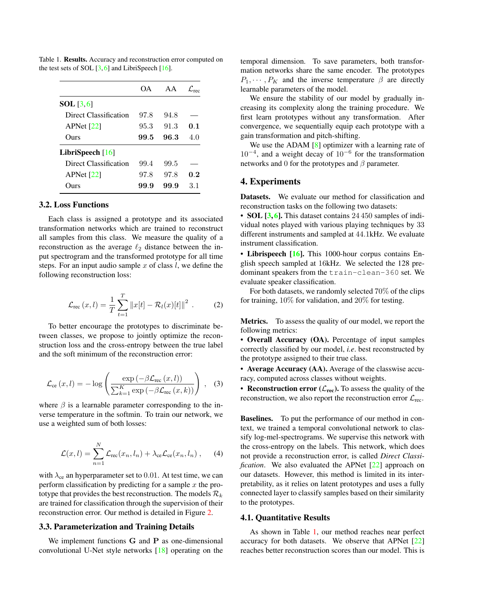|                       | OA.  | AA   |     |
|-----------------------|------|------|-----|
| $SOL$ [3, 6]          |      |      |     |
| Direct Classification | 97.8 | 94.8 |     |
| APNet $[22]$          | 95.3 | 91.3 | 0.1 |
| Ours                  | 99.5 | 96.3 | 4.0 |
| LibriSpeech $[16]$    |      |      |     |
| Direct Classification | 99.4 | 99.5 |     |
| APNet $[22]$          | 97.8 | 97.8 | 0.2 |
| mrs                   | 99.9 | 99.9 | 31  |

<span id="page-2-1"></span><span id="page-2-0"></span>Table 1. Results. Accuracy and reconstruction error computed on the test sets of SOL  $[3, 6]$  $[3, 6]$  $[3, 6]$  and LibriSpeech  $[16]$ .

## 3.2. Loss Functions

Each class is assigned a prototype and its associated transformation networks which are trained to reconstruct all samples from this class. We measure the quality of a reconstruction as the average  $\ell_2$  distance between the input spectrogram and the transformed prototype for all time steps. For an input audio sample  $x$  of class  $l$ , we define the following reconstruction loss:

$$
\mathcal{L}_{\text{rec}}(x,l) = \frac{1}{T} \sum_{t=1}^{T} ||x[t] - \mathcal{R}_l(x)[t]||^2.
$$
 (2)

To better encourage the prototypes to discriminate between classes, we propose to jointly optimize the reconstruction loss and the cross-entropy between the true label and the soft minimum of the reconstruction error:

$$
\mathcal{L}_{ce}(x,l) = -\log\left(\frac{\exp\left(-\beta \mathcal{L}_{rec}\left(x,l\right)\right)}{\sum_{k=1}^{K} \exp\left(-\beta \mathcal{L}_{rec}\left(x,k\right)\right)}\right), \quad (3)
$$

where  $\beta$  is a learnable parameter corresponding to the inverse temperature in the softmin. To train our network, we use a weighted sum of both losses:

$$
\mathcal{L}(x,l) = \sum_{n=1}^{N} \mathcal{L}_{\text{rec}}(x_n, l_n) + \lambda_{\text{ce}} \mathcal{L}_{\text{ce}}(x_n, l_n) , \quad (4)
$$

with  $\lambda_{ce}$  an hyperparameter set to 0.01. At test time, we can perform classification by predicting for a sample  $x$  the prototype that provides the best reconstruction. The models  $\mathcal{R}_k$ are trained for classification through the supervision of their reconstruction error. Our method is detailed in Figure [2.](#page-1-0)

#### 3.3. Parameterization and Training Details

We implement functions G and P as one-dimensional convolutional U-Net style networks [\[18\]](#page-4-6) operating on the temporal dimension. To save parameters, both transformation networks share the same encoder. The prototypes  $P_1, \cdots, P_K$  and the inverse temperature  $\beta$  are directly learnable parameters of the model.

We ensure the stability of our model by gradually increasing its complexity along the training procedure. We first learn prototypes without any transformation. After convergence, we sequentially equip each prototype with a gain transformation and pitch-shifting.

We use the ADAM [\[8\]](#page-3-12) optimizer with a learning rate of 10−<sup>4</sup> , and a weight decay of 10−<sup>6</sup> for the transformation networks and 0 for the prototypes and  $\beta$  parameter.

#### 4. Experiments

Datasets. We evaluate our method for classification and reconstruction tasks on the following two datasets:

• SOL [\[3,](#page-3-5) [6\]](#page-3-6). This dataset contains 24 450 samples of individual notes played with various playing techniques by 33 different instruments and sampled at 44.1kHz. We evaluate instrument classification.

• Librispeech [\[16\]](#page-4-1). This 1000-hour corpus contains English speech sampled at 16kHz. We selected the 128 predominant speakers from the train-clean-360 set. We evaluate speaker classification.

For both datasets, we randomly selected 70% of the clips for training, 10% for validation, and 20% for testing.

Metrics. To assess the quality of our model, we report the following metrics:

• Overall Accuracy (OA). Percentage of input samples correctly classified by our model, *i.e*. best reconstructed by the prototype assigned to their true class.

• Average Accuracy (AA). Average of the classwise accuracy, computed across classes without weights.

• Reconstruction error  $(\mathcal{L}_{rec})$ . To assess the quality of the reconstruction, we also report the reconstruction error  $\mathcal{L}_{\text{rec}}$ .

Baselines. To put the performance of our method in context, we trained a temporal convolutional network to classify log-mel-spectrograms. We supervise this network with the cross-entropy on the labels. This network, which does not provide a reconstruction error, is called *Direct Classification*. We also evaluated the APNet [\[22\]](#page-4-5) approach on our datasets. However, this method is limited in its interpretability, as it relies on latent prototypes and uses a fully connected layer to classify samples based on their similarity to the prototypes.

# 4.1. Quantitative Results

As shown in Table [1,](#page-2-0) our method reaches near perfect accuracy for both datasets. We observe that APNet [\[22\]](#page-4-5) reaches better reconstruction scores than our model. This is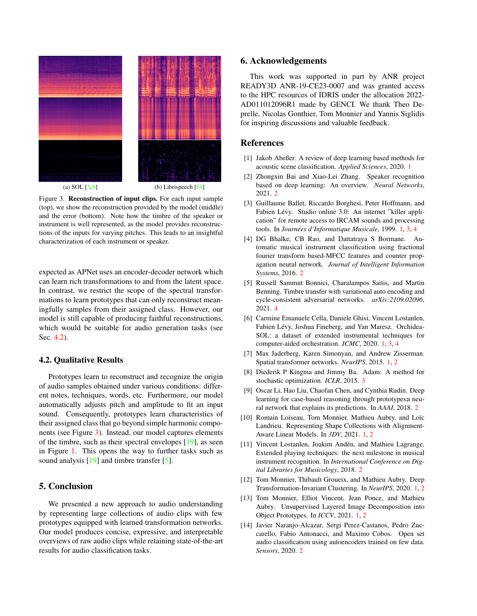<span id="page-3-16"></span><span id="page-3-14"></span>

(a) SOL  $[3, 6]$  $[3, 6]$  $[3, 6]$  (b) Librispeech  $[16]$ 

Figure 3. **Reconstruction of input clips.** For each input sample (top), we show the reconstruction provided by the model (middle) and the error (bottom). Note how the timbre of the speaker or instrument is well represented, as the model provides reconstructions of the inputs for varying pitches. This leads to an insightful characterization of each instrument or speaker.

expected as APNet uses an encoder-decoder network which can learn rich transformations to and from the latent space. In contrast, we restrict the scope of the spectral transformations to learn prototypes that can only reconstruct meaningfully samples from their assigned class. However, our model is still capable of producing faithful reconstructions, which would be suitable for audio generation tasks (see Sec. [4.2\)](#page-3-13).

## <span id="page-3-13"></span>4.2. Qualitative Results

Prototypes learn to reconstruct and recognize the origin of audio samples obtained under various conditions: different notes, techniques, words, etc. Furthermore, our model automatically adjusts pitch and amplitude to fit an input sound. Consequently, prototypes learn characteristics of their assigned class that go beyond simple harmonic components (see Figure [3\)](#page-3-14). Instead, our model captures elements of the timbre, such as their spectral envelopes [\[19\]](#page-4-7), as seen in Figure [1.](#page-0-0) This opens the way to further tasks such as sound analysis [\[19\]](#page-4-7) and timbre transfer [\[5\]](#page-3-15).

# 5. Conclusion

We presented a new approach to audio understanding by representing large collections of audio clips with few prototypes equipped with learned transformation networks. Our model produces concise, expressive, and interpretable overviews of raw audio clips while retaining state-of-the-art results for audio classification tasks.

## 6. Acknowledgements

This work was supported in part by ANR project READY3D ANR-19-CE23-0007 and was granted access to the HPC resources of IDRIS under the allocation 2022- AD011012096R1 made by GENCI. We thank Theo Deprelle, Nicolas Gonthier, Tom Monnier and Yannis Siglidis for inspiring discussions and valuable feedback.

## References

- <span id="page-3-0"></span>[1] Jakob Abeßer. A review of deep learning based methods for acoustic scene classification. *Applied Sciences*, 2020. [1](#page-0-1)
- <span id="page-3-9"></span>[2] Zhongxin Bai and Xiao-Lei Zhang. Speaker recognition based on deep learning: An overview. *Neural Networks*, 2021. [2](#page-1-1)
- <span id="page-3-5"></span>[3] Guillaume Ballet, Riccardo Borghesi, Peter Hoffmann, and Fabien Lévy. Studio online 3.0: An internet "killer application" for remote access to IRCAM sounds and processing tools. In *Journées d'Informatique Musicale*, 1999. [1,](#page-0-1) [3,](#page-2-1) [4](#page-3-16)
- <span id="page-3-7"></span>[4] DG Bhalke, CB Rao, and Dattatraya S Bormane. Automatic musical instrument classification using fractional fourier transform based-MFCC features and counter propagation neural network. *Journal of Intelligent Information Systems*, 2016. [2](#page-1-1)
- <span id="page-3-15"></span>[5] Russell Sammut Bonnici, Charalampos Saitis, and Martin Benning. Timbre transfer with variational auto encoding and cycle-consistent adversarial networks. *arXiv:2109.02096*, 2021. [4](#page-3-16)
- <span id="page-3-6"></span>[6] Carmine Emanuele Cella, Daniele Ghisi, Vincent Lostanlen, Fabien Lévy, Joshua Fineberg, and Yan Maresz. Orchidea-SOL: a dataset of extended instrumental techniques for computer-aided orchestration. *ICMC*, 2020. [1,](#page-0-1) [3,](#page-2-1) [4](#page-3-16)
- <span id="page-3-4"></span>[7] Max Jaderberg, Karen Simonyan, and Andrew Zisserman. Spatial transformer networks. *NeurIPS*, 2015. [1,](#page-0-1) [2](#page-1-1)
- <span id="page-3-12"></span>[8] Diederik P Kingma and Jimmy Ba. Adam: A method for stochastic optimization. *ICLR*, 2015. [3](#page-2-1)
- <span id="page-3-11"></span>[9] Oscar Li, Hao Liu, Chaofan Chen, and Cynthia Rudin. Deep learning for case-based reasoning through prototypes: neural network that explains its predictions. In *AAAI*, 2018. [2](#page-1-1)
- <span id="page-3-1"></span>[10] Romain Loiseau, Tom Monnier, Mathieu Aubry, and Loïc Landrieu. Representing Shape Collections with Alignment-Aware Linear Models. In *3DV*, 2021. [1,](#page-0-1) [2](#page-1-1)
- <span id="page-3-8"></span>[11] Vincent Lostanlen, Joakim Andén, and Mathieu Lagrange. Extended playing techniques: the next milestone in musical instrument recognition. In *International Conference on Digital Libraries for Musicology*, 2018. [2](#page-1-1)
- <span id="page-3-2"></span>[12] Tom Monnier, Thibault Groueix, and Mathieu Aubry. Deep Transformation-Invariant Clustering. In *NeurIPS*, 2020. [1,](#page-0-1) [2](#page-1-1)
- <span id="page-3-3"></span>[13] Tom Monnier, Elliot Vincent, Jean Ponce, and Mathieu Aubry. Unsupervised Layered Image Decomposition into Object Prototypes. In *ICCV*, 2021. [1,](#page-0-1) [2](#page-1-1)
- <span id="page-3-10"></span>[14] Javier Naranjo-Alcazar, Sergi Perez-Castanos, Pedro Zuccarello, Fabio Antonacci, and Maximo Cobos. Open set audio classification using autoencoders trained on few data. *Sensors*, 2020. [2](#page-1-1)